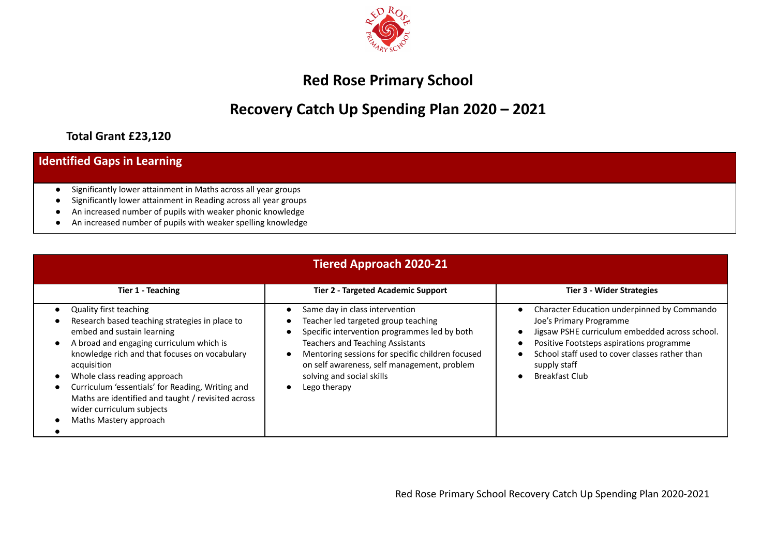

## **Red Rose Primary School**

## **Recovery Catch Up Spending Plan 2020 – 2021**

## **Total Grant £23,120**

| <b>Identified Gaps in Learning</b>                                                                                                                                                                                                                               |
|------------------------------------------------------------------------------------------------------------------------------------------------------------------------------------------------------------------------------------------------------------------|
| Significantly lower attainment in Maths across all year groups<br>Significantly lower attainment in Reading across all year groups<br>An increased number of pupils with weaker phonic knowledge<br>An increased number of pupils with weaker spelling knowledge |

| <b>Tiered Approach 2020-21</b>                                                                                                                                                                                                                                                                                                                                                                                             |                                                                                                                                                                                                                                                                                                                                                                      |                                                                                                                                                                                                                                                                                                        |  |  |  |  |
|----------------------------------------------------------------------------------------------------------------------------------------------------------------------------------------------------------------------------------------------------------------------------------------------------------------------------------------------------------------------------------------------------------------------------|----------------------------------------------------------------------------------------------------------------------------------------------------------------------------------------------------------------------------------------------------------------------------------------------------------------------------------------------------------------------|--------------------------------------------------------------------------------------------------------------------------------------------------------------------------------------------------------------------------------------------------------------------------------------------------------|--|--|--|--|
| <b>Tier 1 - Teaching</b>                                                                                                                                                                                                                                                                                                                                                                                                   | <b>Tier 2 - Targeted Academic Support</b>                                                                                                                                                                                                                                                                                                                            | <b>Tier 3 - Wider Strategies</b>                                                                                                                                                                                                                                                                       |  |  |  |  |
| <b>Quality first teaching</b><br>Research based teaching strategies in place to<br>embed and sustain learning<br>A broad and engaging curriculum which is<br>knowledge rich and that focuses on vocabulary<br>acquisition<br>Whole class reading approach<br>Curriculum 'essentials' for Reading, Writing and<br>Maths are identified and taught / revisited across<br>wider curriculum subjects<br>Maths Mastery approach | Same day in class intervention<br>Teacher led targeted group teaching<br>$\bullet$<br>Specific intervention programmes led by both<br>$\bullet$<br><b>Teachers and Teaching Assistants</b><br>Mentoring sessions for specific children focused<br>$\bullet$<br>on self awareness, self management, problem<br>solving and social skills<br>Lego therapy<br>$\bullet$ | Character Education underpinned by Commando<br>$\bullet$<br>Joe's Primary Programme<br>Jigsaw PSHE curriculum embedded across school.<br>Positive Footsteps aspirations programme<br>School staff used to cover classes rather than<br>$\bullet$<br>supply staff<br><b>Breakfast Club</b><br>$\bullet$ |  |  |  |  |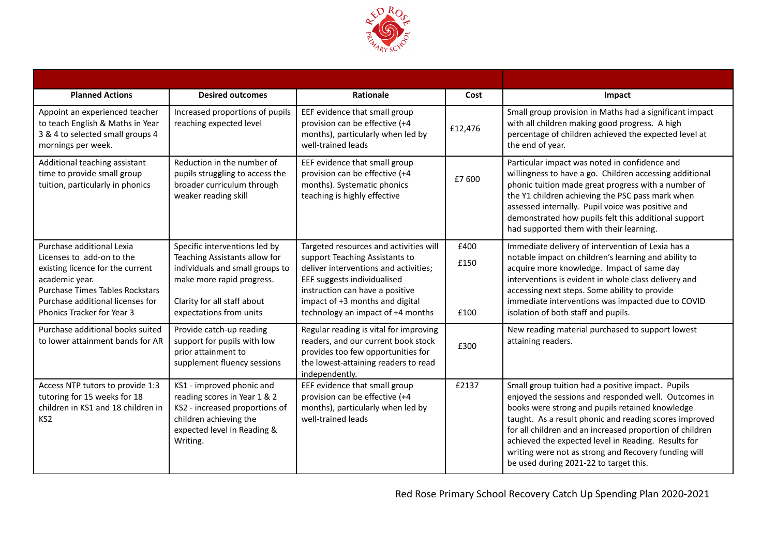

| <b>Planned Actions</b>                                                                                                                                                                                                   | <b>Desired outcomes</b>                                                                                                                                                                  | <b>Rationale</b>                                                                                                                                                                                                                                            | Cost                 | Impact                                                                                                                                                                                                                                                                                                                                                                                                                                      |
|--------------------------------------------------------------------------------------------------------------------------------------------------------------------------------------------------------------------------|------------------------------------------------------------------------------------------------------------------------------------------------------------------------------------------|-------------------------------------------------------------------------------------------------------------------------------------------------------------------------------------------------------------------------------------------------------------|----------------------|---------------------------------------------------------------------------------------------------------------------------------------------------------------------------------------------------------------------------------------------------------------------------------------------------------------------------------------------------------------------------------------------------------------------------------------------|
| Appoint an experienced teacher<br>to teach English & Maths in Year<br>3 & 4 to selected small groups 4<br>mornings per week.                                                                                             | Increased proportions of pupils<br>reaching expected level                                                                                                                               | EEF evidence that small group<br>provision can be effective (+4<br>months), particularly when led by<br>well-trained leads                                                                                                                                  | £12,476              | Small group provision in Maths had a significant impact<br>with all children making good progress. A high<br>percentage of children achieved the expected level at<br>the end of year.                                                                                                                                                                                                                                                      |
| Additional teaching assistant<br>time to provide small group<br>tuition, particularly in phonics                                                                                                                         | Reduction in the number of<br>pupils struggling to access the<br>broader curriculum through<br>weaker reading skill                                                                      | EEF evidence that small group<br>provision can be effective (+4<br>months). Systematic phonics<br>teaching is highly effective                                                                                                                              | £7600                | Particular impact was noted in confidence and<br>willingness to have a go. Children accessing additional<br>phonic tuition made great progress with a number of<br>the Y1 children achieving the PSC pass mark when<br>assessed internally. Pupil voice was positive and<br>demonstrated how pupils felt this additional support<br>had supported them with their learning.                                                                 |
| Purchase additional Lexia<br>Licenses to add-on to the<br>existing licence for the current<br>academic year.<br><b>Purchase Times Tables Rockstars</b><br>Purchase additional licenses for<br>Phonics Tracker for Year 3 | Specific interventions led by<br>Teaching Assistants allow for<br>individuals and small groups to<br>make more rapid progress.<br>Clarity for all staff about<br>expectations from units | Targeted resources and activities will<br>support Teaching Assistants to<br>deliver interventions and activities;<br>EEF suggests individualised<br>instruction can have a positive<br>impact of +3 months and digital<br>technology an impact of +4 months | £400<br>£150<br>£100 | Immediate delivery of intervention of Lexia has a<br>notable impact on children's learning and ability to<br>acquire more knowledge. Impact of same day<br>interventions is evident in whole class delivery and<br>accessing next steps. Some ability to provide<br>immediate interventions was impacted due to COVID<br>isolation of both staff and pupils.                                                                                |
| Purchase additional books suited<br>to lower attainment bands for AR                                                                                                                                                     | Provide catch-up reading<br>support for pupils with low<br>prior attainment to<br>supplement fluency sessions                                                                            | Regular reading is vital for improving<br>readers, and our current book stock<br>provides too few opportunities for<br>the lowest-attaining readers to read<br>independently.                                                                               | £300                 | New reading material purchased to support lowest<br>attaining readers.                                                                                                                                                                                                                                                                                                                                                                      |
| Access NTP tutors to provide 1:3<br>tutoring for 15 weeks for 18<br>children in KS1 and 18 children in<br>KS <sub>2</sub>                                                                                                | KS1 - improved phonic and<br>reading scores in Year 1 & 2<br>KS2 - increased proportions of<br>children achieving the<br>expected level in Reading &<br>Writing.                         | EEF evidence that small group<br>provision can be effective (+4<br>months), particularly when led by<br>well-trained leads                                                                                                                                  | £2137                | Small group tuition had a positive impact. Pupils<br>enjoyed the sessions and responded well. Outcomes in<br>books were strong and pupils retained knowledge<br>taught. As a result phonic and reading scores improved<br>for all children and an increased proportion of children<br>achieved the expected level in Reading. Results for<br>writing were not as strong and Recovery funding will<br>be used during 2021-22 to target this. |

Red Rose Primary School Recovery Catch Up Spending Plan 2020-2021